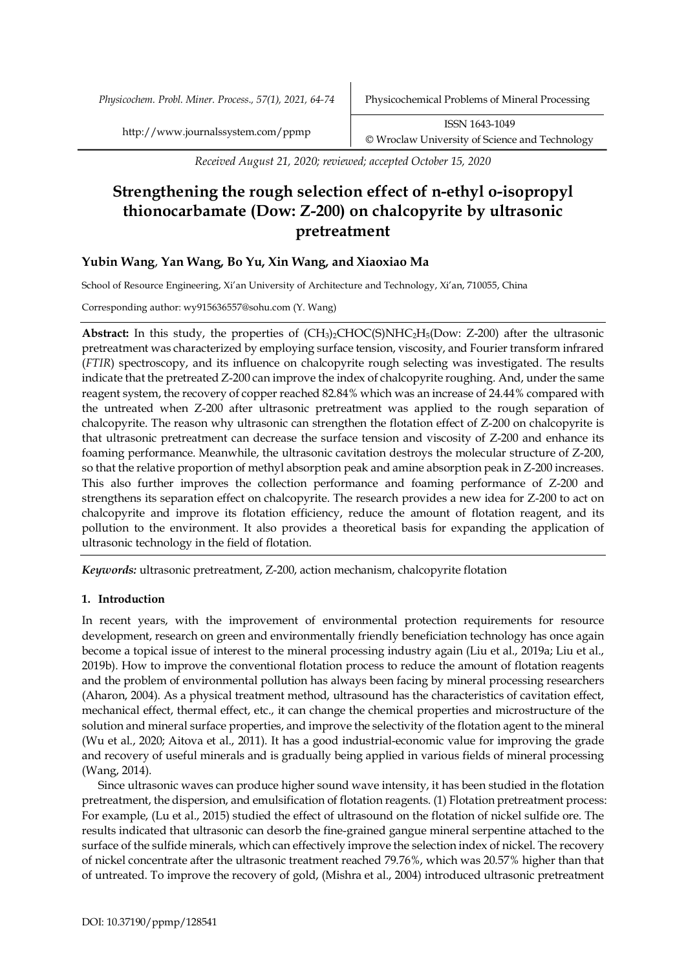*Physicochem. Probl. Miner. Process., 57(1), 2021, 64-74* Physicochemical Problems of Mineral Processing

http://www.journalssystem.com/ppmp ISSN 1643-1049 © Wroclaw University of Science and Technology

*Received August 21, 2020; reviewed; accepted October 15, 2020*

# **Strengthening the rough selection effect of n-ethyl o-isopropyl thionocarbamate (Dow: Z-200) on chalcopyrite by ultrasonic pretreatment**

# **Yubin Wang**, **Yan Wang, Bo Yu, Xin Wang, and Xiaoxiao Ma**

School of Resource Engineering, Xi'an University of Architecture and Technology, Xi'an, 710055, China

Corresponding author: wy915636557@sohu.com (Y. Wang)

**Abstract:** In this study, the properties of (CH3)2CHOC(S)NHC2H5(Dow: Z-200) after the ultrasonic pretreatment was characterized by employing surface tension, viscosity, and Fourier transform infrared (*FTIR*) spectroscopy, and its influence on chalcopyrite rough selecting was investigated. The results indicate that the pretreated Z-200 can improve the index of chalcopyrite roughing. And, under the same reagent system, the recovery of copper reached 82.84% which was an increase of 24.44% compared with the untreated when Z-200 after ultrasonic pretreatment was applied to the rough separation of chalcopyrite. The reason why ultrasonic can strengthen the flotation effect of Z-200 on chalcopyrite is that ultrasonic pretreatment can decrease the surface tension and viscosity of Z-200 and enhance its foaming performance. Meanwhile, the ultrasonic cavitation destroys the molecular structure of Z-200, so that the relative proportion of methyl absorption peak and amine absorption peak in Z-200 increases. This also further improves the collection performance and foaming performance of Z-200 and strengthens its separation effect on chalcopyrite. The research provides a new idea for Z-200 to act on chalcopyrite and improve its flotation efficiency, reduce the amount of flotation reagent, and its pollution to the environment. It also provides a theoretical basis for expanding the application of ultrasonic technology in the field of flotation.

*Keywords:* ultrasonic pretreatment, Z-200, action mechanism, chalcopyrite flotation

# **1. Introduction**

In recent years, with the improvement of environmental protection requirements for resource development, research on green and environmentally friendly beneficiation technology has once again become a topical issue of interest to the mineral processing industry again (Liu et al., 2019a; Liu et al., 2019b). How to improve the conventional flotation process to reduce the amount of flotation reagents and the problem of environmental pollution has always been facing by mineral processing researchers (Aharon, 2004). As a physical treatment method, ultrasound has the characteristics of cavitation effect, mechanical effect, thermal effect, etc., it can change the chemical properties and microstructure of the solution and mineral surface properties, and improve the selectivity of the flotation agent to the mineral (Wu et al., 2020; Aitova et al., 2011). It has a good industrial-economic value for improving the grade and recovery of useful minerals and is gradually being applied in various fields of mineral processing (Wang, 2014).

Since ultrasonic waves can produce higher sound wave intensity, it has been studied in the flotation pretreatment, the dispersion, and emulsification of flotation reagents. (1) Flotation pretreatment process: For example, (Lu et al., 2015) studied the effect of ultrasound on the flotation of nickel sulfide ore. The results indicated that ultrasonic can desorb the fine-grained gangue mineral serpentine attached to the surface of the sulfide minerals, which can effectively improve the selection index of nickel. The recovery of nickel concentrate after the ultrasonic treatment reached 79.76%, which was 20.57% higher than that of untreated. To improve the recovery of gold, (Mishra et al., 2004) introduced ultrasonic pretreatment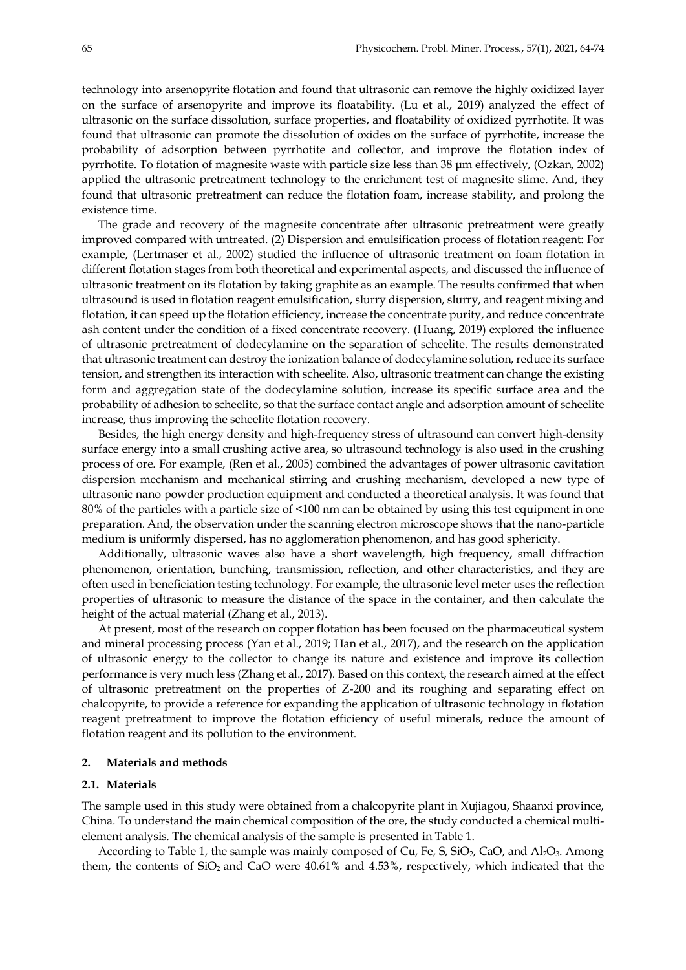technology into arsenopyrite flotation and found that ultrasonic can remove the highly oxidized layer on the surface of arsenopyrite and improve its floatability. (Lu et al., 2019) analyzed the effect of ultrasonic on the surface dissolution, surface properties, and floatability of oxidized pyrrhotite. It was found that ultrasonic can promote the dissolution of oxides on the surface of pyrrhotite, increase the probability of adsorption between pyrrhotite and collector, and improve the flotation index of pyrrhotite. To flotation of magnesite waste with particle size less than 38 µm effectively, (Ozkan, 2002) applied the ultrasonic pretreatment technology to the enrichment test of magnesite slime. And, they found that ultrasonic pretreatment can reduce the flotation foam, increase stability, and prolong the existence time.

The grade and recovery of the magnesite concentrate after ultrasonic pretreatment were greatly improved compared with untreated. (2) Dispersion and emulsification process of flotation reagent: For example, (Lertmaser et al., 2002) studied the influence of ultrasonic treatment on foam flotation in different flotation stages from both theoretical and experimental aspects, and discussed the influence of ultrasonic treatment on its flotation by taking graphite as an example. The results confirmed that when ultrasound is used in flotation reagent emulsification, slurry dispersion, slurry, and reagent mixing and flotation, it can speed up the flotation efficiency, increase the concentrate purity, and reduce concentrate ash content under the condition of a fixed concentrate recovery. (Huang, 2019) explored the influence of ultrasonic pretreatment of dodecylamine on the separation of scheelite. The results demonstrated that ultrasonic treatment can destroy the ionization balance of dodecylamine solution, reduce its surface tension, and strengthen its interaction with scheelite. Also, ultrasonic treatment can change the existing form and aggregation state of the dodecylamine solution, increase its specific surface area and the probability of adhesion to scheelite, so that the surface contact angle and adsorption amount of scheelite increase, thus improving the scheelite flotation recovery.

Besides, the high energy density and high-frequency stress of ultrasound can convert high-density surface energy into a small crushing active area, so ultrasound technology is also used in the crushing process of ore. For example, (Ren et al., 2005) combined the advantages of power ultrasonic cavitation dispersion mechanism and mechanical stirring and crushing mechanism, developed a new type of ultrasonic nano powder production equipment and conducted a theoretical analysis. It was found that 80% of the particles with a particle size of <100 nm can be obtained by using this test equipment in one preparation. And, the observation under the scanning electron microscope shows that the nano-particle medium is uniformly dispersed, has no agglomeration phenomenon, and has good sphericity.

Additionally, ultrasonic waves also have a short wavelength, high frequency, small diffraction phenomenon, orientation, bunching, transmission, reflection, and other characteristics, and they are often used in beneficiation testing technology. For example, the ultrasonic level meter uses the reflection properties of ultrasonic to measure the distance of the space in the container, and then calculate the height of the actual material (Zhang et al., 2013).

At present, most of the research on copper flotation has been focused on the pharmaceutical system and mineral processing process (Yan et al., 2019; Han et al., 2017), and the research on the application of ultrasonic energy to the collector to change its nature and existence and improve its collection performance is very much less (Zhang et al., 2017). Based on this context, the research aimed at the effect of ultrasonic pretreatment on the properties of Z-200 and its roughing and separating effect on chalcopyrite, to provide a reference for expanding the application of ultrasonic technology in flotation reagent pretreatment to improve the flotation efficiency of useful minerals, reduce the amount of flotation reagent and its pollution to the environment.

## **2. Materials and methods**

#### **2.1. Materials**

The sample used in this study were obtained from a chalcopyrite plant in Xujiagou, Shaanxi province, China. To understand the main chemical composition of the ore, the study conducted a chemical multielement analysis. The chemical analysis of the sample is presented in Table 1.

According to Table 1, the sample was mainly composed of Cu, Fe, S,  $SiO<sub>2</sub>$ , CaO, and Al<sub>2</sub>O<sub>3</sub>. Among them, the contents of  $SiO<sub>2</sub>$  and  $CaO$  were  $40.61\%$  and  $4.53\%$ , respectively, which indicated that the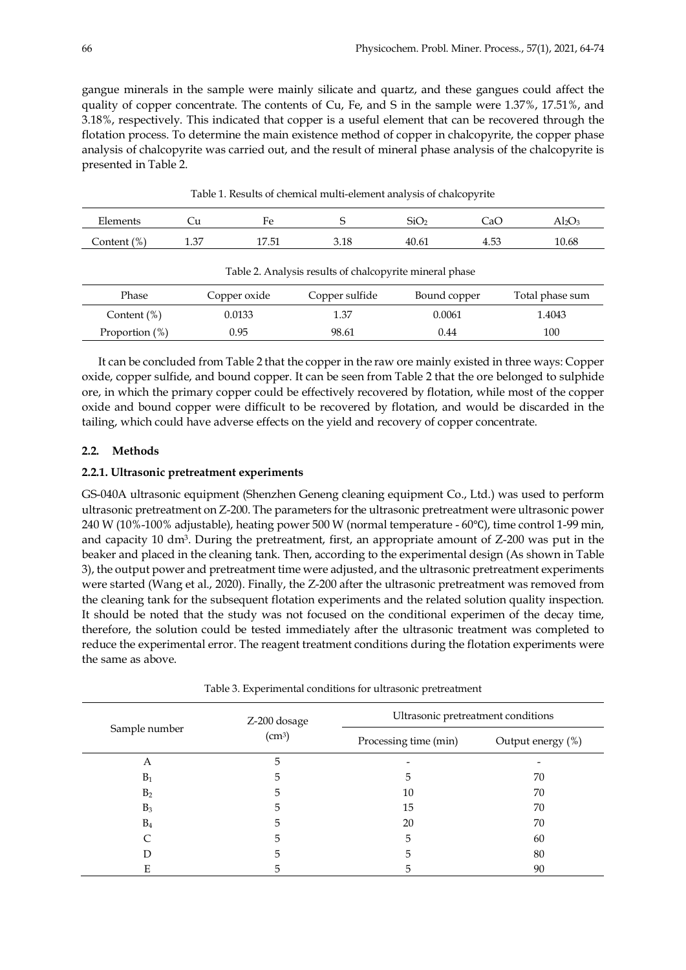gangue minerals in the sample were mainly silicate and quartz, and these gangues could affect the quality of copper concentrate. The contents of Cu, Fe, and S in the sample were 1.37%, 17.51%, and 3.18%, respectively. This indicated that copper is a useful element that can be recovered through the flotation process. To determine the main existence method of copper in chalcopyrite, the copper phase analysis of chalcopyrite was carried out, and the result of mineral phase analysis of the chalcopyrite is presented in Table 2.

| Elements    | ∪u   | Fe   |      | SiO <sub>2</sub> | CaC  | $\rm Al_2O$ |
|-------------|------|------|------|------------------|------|-------------|
| Content (%) | 1.37 | ี 51 | 3.18 | 40.61            | 4.53 | 10.68       |

Table 1. Results of chemical multi-element analysis of chalcopyrite

| Table 2. Analysis results of chalcopyrite mineral phase |              |                |              |                 |  |  |
|---------------------------------------------------------|--------------|----------------|--------------|-----------------|--|--|
| Phase                                                   | Copper oxide | Copper sulfide | Bound copper | Total phase sum |  |  |
| Content $(\%)$                                          | 0.0133       | 1.37           | 0.0061       | 1.4043          |  |  |
| Proportion $(\%)$                                       | 0.95         | 98.61          | 0.44         | 100             |  |  |

It can be concluded from Table 2 that the copper in the raw ore mainly existed in three ways: Copper oxide, copper sulfide, and bound copper. It can be seen from Table 2 that the ore belonged to sulphide ore, in which the primary copper could be effectively recovered by flotation, while most of the copper oxide and bound copper were difficult to be recovered by flotation, and would be discarded in the tailing, which could have adverse effects on the yield and recovery of copper concentrate.

# **2.2. Methods**

# **2.2.1. Ultrasonic pretreatment experiments**

GS-040A ultrasonic equipment (Shenzhen Geneng cleaning equipment Co., Ltd.) was used to perform ultrasonic pretreatment on Z-200. The parameters for the ultrasonic pretreatment were ultrasonic power 240 W (10%-100% adjustable), heating power 500 W (normal temperature - 60℃), time control 1-99 min, and capacity 10 dm3. During the pretreatment, first, an appropriate amount of Z-200 was put in the beaker and placed in the cleaning tank. Then, according to the experimental design (As shown in Table 3), the output power and pretreatment time were adjusted, and the ultrasonic pretreatment experiments were started (Wang et al., 2020). Finally, the Z-200 after the ultrasonic pretreatment was removed from the cleaning tank for the subsequent flotation experiments and the related solution quality inspection. It should be noted that the study was not focused on the conditional experimen of the decay time, therefore, the solution could be tested immediately after the ultrasonic treatment was completed to reduce the experimental error. The reagent treatment conditions during the flotation experiments were the same as above.

|                | Z-200 dosage       | Ultrasonic pretreatment conditions |                   |  |
|----------------|--------------------|------------------------------------|-------------------|--|
| Sample number  | (cm <sup>3</sup> ) | Processing time (min)              | Output energy (%) |  |
| А              | 5                  |                                    |                   |  |
| $B_1$          | 5                  | 5                                  | 70                |  |
| B <sub>2</sub> | 5                  | 10                                 | 70                |  |
| B <sub>3</sub> | 5                  | 15                                 | 70                |  |
| $B_4$          | 5                  | 20                                 | 70                |  |
|                | 5                  | 5                                  | 60                |  |
|                | 5                  | 5                                  | 80                |  |
| E              | כ                  | 5                                  | 90                |  |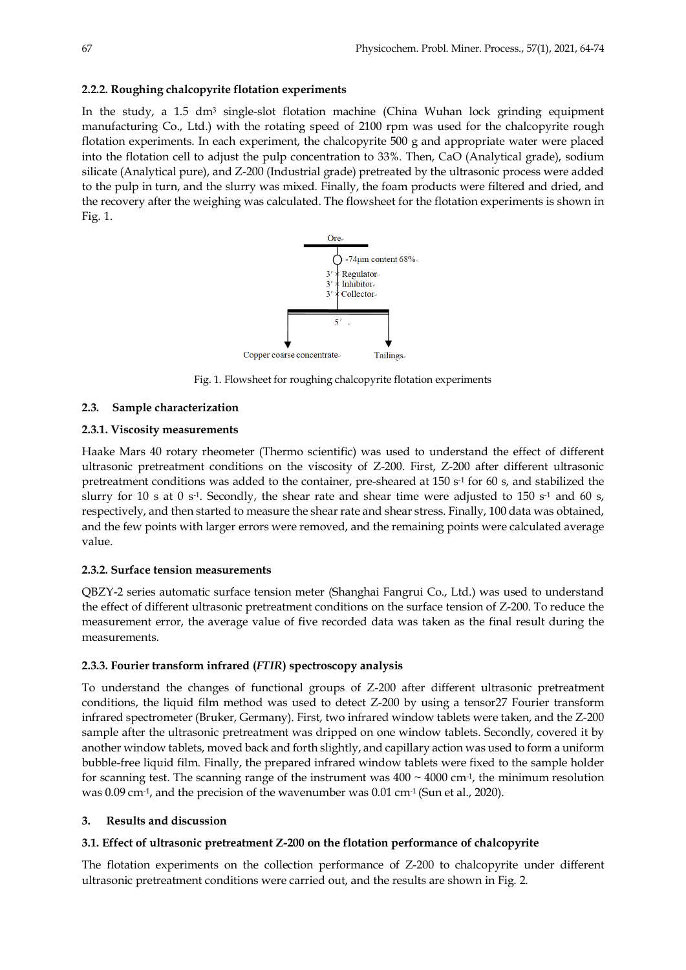# **2.2.2. Roughing chalcopyrite flotation experiments**

In the study, a  $1.5 \text{ dm}^3$  single-slot flotation machine (China Wuhan lock grinding equipment manufacturing Co., Ltd.) with the rotating speed of 2100 rpm was used for the chalcopyrite rough flotation experiments. In each experiment, the chalcopyrite 500 g and appropriate water were placed into the flotation cell to adjust the pulp concentration to 33%. Then, CaO (Analytical grade), sodium silicate (Analytical pure), and Z-200 (Industrial grade) pretreated by the ultrasonic process were added to the pulp in turn, and the slurry was mixed. Finally, the foam products were filtered and dried, and the recovery after the weighing was calculated. The flowsheet for the flotation experiments is shown in Fig. 1.



Fig. 1. Flowsheet for roughing chalcopyrite flotation experiments

# **2.3. Sample characterization**

## **2.3.1. Viscosity measurements**

Haake Mars 40 rotary rheometer (Thermo scientific) was used to understand the effect of different ultrasonic pretreatment conditions on the viscosity of Z-200. First, Z-200 after different ultrasonic pretreatment conditions was added to the container, pre-sheared at  $150 s<sup>-1</sup>$  for 60 s, and stabilized the slurry for 10 s at 0 s<sup>-1</sup>. Secondly, the shear rate and shear time were adjusted to 150 s<sup>-1</sup> and 60 s, respectively, and then started to measure the shear rate and shear stress. Finally, 100 data was obtained, and the few points with larger errors were removed, and the remaining points were calculated average value.

#### **2.3.2. Surface tension measurements**

QBZY-2 series automatic surface tension meter (Shanghai Fangrui Co., Ltd.) was used to understand the effect of different ultrasonic pretreatment conditions on the surface tension of Z-200. To reduce the measurement error, the average value of five recorded data was taken as the final result during the measurements.

#### **2.3.3. Fourier transform infrared (***FTIR***) spectroscopy analysis**

To understand the changes of functional groups of Z-200 after different ultrasonic pretreatment conditions, the liquid film method was used to detect Z-200 by using a tensor27 Fourier transform infrared spectrometer (Bruker, Germany). First, two infrared window tablets were taken, and the Z-200 sample after the ultrasonic pretreatment was dripped on one window tablets. Secondly, covered it by another window tablets, moved back and forth slightly, and capillary action was used to form a uniform bubble-free liquid film. Finally, the prepared infrared window tablets were fixed to the sample holder for scanning test. The scanning range of the instrument was  $400 \sim 4000 \text{ cm}^3$ , the minimum resolution was 0.09 cm-1, and the precision of the wavenumber was 0.01 cm-1 (Sun et al., 2020).

#### **3. Results and discussion**

## **3.1. Effect of ultrasonic pretreatment Z-200 on the flotation performance of chalcopyrite**

The flotation experiments on the collection performance of Z-200 to chalcopyrite under different ultrasonic pretreatment conditions were carried out, and the results are shown in Fig. 2.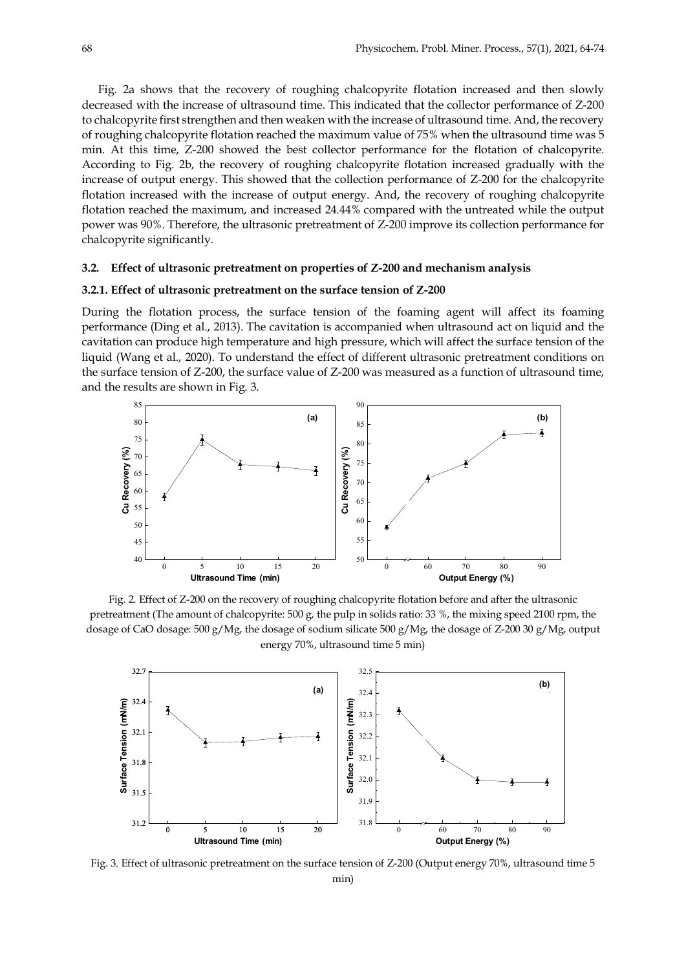Fig. 2a shows that the recovery of roughing chalcopyrite flotation increased and then slowly decreased with the increase of ultrasound time. This indicated that the collector performance of Z-200 to chalcopyrite first strengthen and then weaken with the increase of ultrasound time. And, the recovery of roughing chalcopyrite flotation reached the maximum value of 75% when the ultrasound time was 5 min. At this time, Z-200 showed the best collector performance for the flotation of chalcopyrite. According to Fig. 2b, the recovery of roughing chalcopyrite flotation increased gradually with the increase of output energy. This showed that the collection performance of Z-200 for the chalcopyrite flotation increased with the increase of output energy. And, the recovery of roughing chalcopyrite flotation reached the maximum, and increased 24.44% compared with the untreated while the output power was 90%. Therefore, the ultrasonic pretreatment of Z-200 improve its collection performance for chalcopyrite significantly.

#### **3.2. Effect of ultrasonic pretreatment on properties of Z-200 and mechanism analysis**

#### **3.2.1. Effect of ultrasonic pretreatment on the surface tension of Z-200**

During the flotation process, the surface tension of the foaming agent will affect its foaming performance (Ding et al., 2013). The cavitation is accompanied when ultrasound act on liquid and the cavitation can produce high temperature and high pressure, which will affect the surface tension of the liquid (Wang et al., 2020). To understand the effect of different ultrasonic pretreatment conditions on the surface tension of Z-200, the surface value of Z-200 was measured as a function of ultrasound time, and the results are shown in Fig. 3.



Fig. 2. Effect of Z-200 on the recovery of roughing chalcopyrite flotation before and after the ultrasonic pretreatment (The amount of chalcopyrite: 500 g, the pulp in solids ratio: 33 %, the mixing speed 2100 rpm, the dosage of CaO dosage: 500 g/Mg, the dosage of sodium silicate 500 g/Mg, the dosage of Z-200 30 g/Mg, output energy 70%, ultrasound time 5 min)



Fig. 3. Effect of ultrasonic pretreatment on the surface tension of Z-200 (Output energy 70%, ultrasound time 5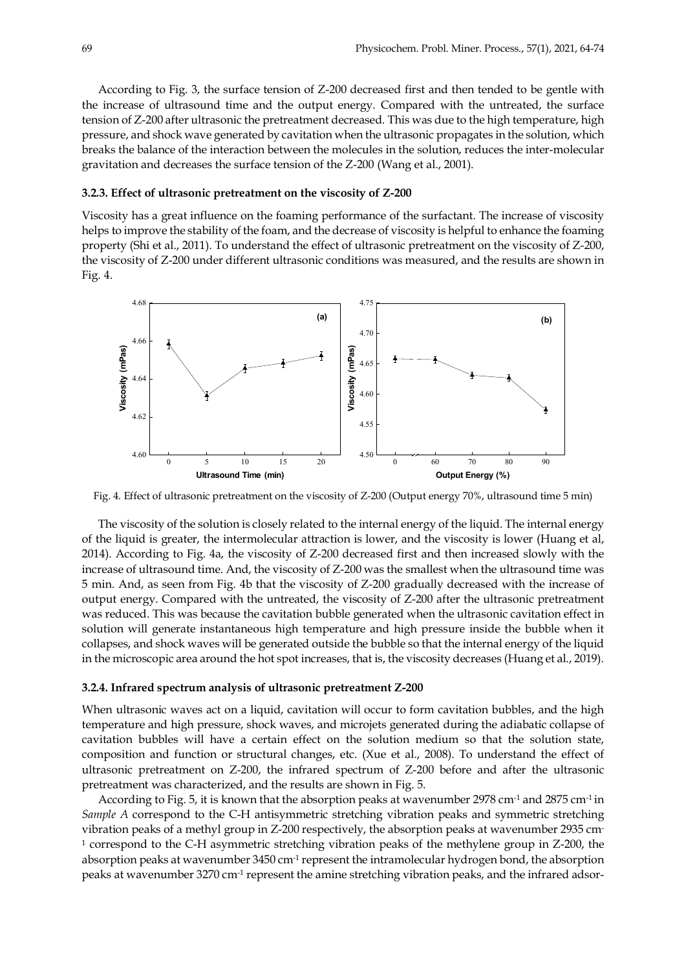According to Fig. 3, the surface tension of Z-200 decreased first and then tended to be gentle with the increase of ultrasound time and the output energy. Compared with the untreated, the surface tension of Z-200 after ultrasonic the pretreatment decreased. This was due to the high temperature, high pressure, and shock wave generated by cavitation when the ultrasonic propagates in the solution, which breaks the balance of the interaction between the molecules in the solution, reduces the inter-molecular gravitation and decreases the surface tension of the Z-200 (Wang et al., 2001).

#### **3.2.3. Effect of ultrasonic pretreatment on the viscosity of Z-200**

Viscosity has a great influence on the foaming performance of the surfactant. The increase of viscosity helps to improve the stability of the foam, and the decrease of viscosity is helpful to enhance the foaming property (Shi et al., 2011). To understand the effect of ultrasonic pretreatment on the viscosity of Z-200, the viscosity of Z-200 under different ultrasonic conditions was measured, and the results are shown in Fig. 4.



Fig. 4. Effect of ultrasonic pretreatment on the viscosity of Z-200 (Output energy 70%, ultrasound time 5 min)

The viscosity of the solution is closely related to the internal energy of the liquid. The internal energy of the liquid is greater, the intermolecular attraction is lower, and the viscosity is lower (Huang et al, 2014). According to Fig. 4a, the viscosity of Z-200 decreased first and then increased slowly with the increase of ultrasound time. And, the viscosity of Z-200 was the smallest when the ultrasound time was 5 min. And, as seen from Fig. 4b that the viscosity of Z-200 gradually decreased with the increase of output energy. Compared with the untreated, the viscosity of Z-200 after the ultrasonic pretreatment was reduced. This was because the cavitation bubble generated when the ultrasonic cavitation effect in solution will generate instantaneous high temperature and high pressure inside the bubble when it collapses, and shock waves will be generated outside the bubble so that the internal energy of the liquid in the microscopic area around the hot spot increases, that is, the viscosity decreases (Huang et al., 2019).

#### **3.2.4. Infrared spectrum analysis of ultrasonic pretreatment Z-200**

When ultrasonic waves act on a liquid, cavitation will occur to form cavitation bubbles, and the high temperature and high pressure, shock waves, and microjets generated during the adiabatic collapse of cavitation bubbles will have a certain effect on the solution medium so that the solution state, composition and function or structural changes, etc. (Xue et al., 2008). To understand the effect of ultrasonic pretreatment on Z-200, the infrared spectrum of Z-200 before and after the ultrasonic pretreatment was characterized, and the results are shown in Fig. 5.

According to Fig. 5, it is known that the absorption peaks at wavenumber 2978 cm-1 and 2875 cm-1 in *Sample A* correspond to the C-H antisymmetric stretching vibration peaks and symmetric stretching vibration peaks of a methyl group in Z-200 respectively, the absorption peaks at wavenumber 2935 cm-<sup>1</sup> correspond to the C-H asymmetric stretching vibration peaks of the methylene group in Z-200, the absorption peaks at wavenumber 3450 cm<sup>-1</sup> represent the intramolecular hydrogen bond, the absorption peaks at wavenumber 3270 cm<sup>-1</sup> represent the amine stretching vibration peaks, and the infrared adsor-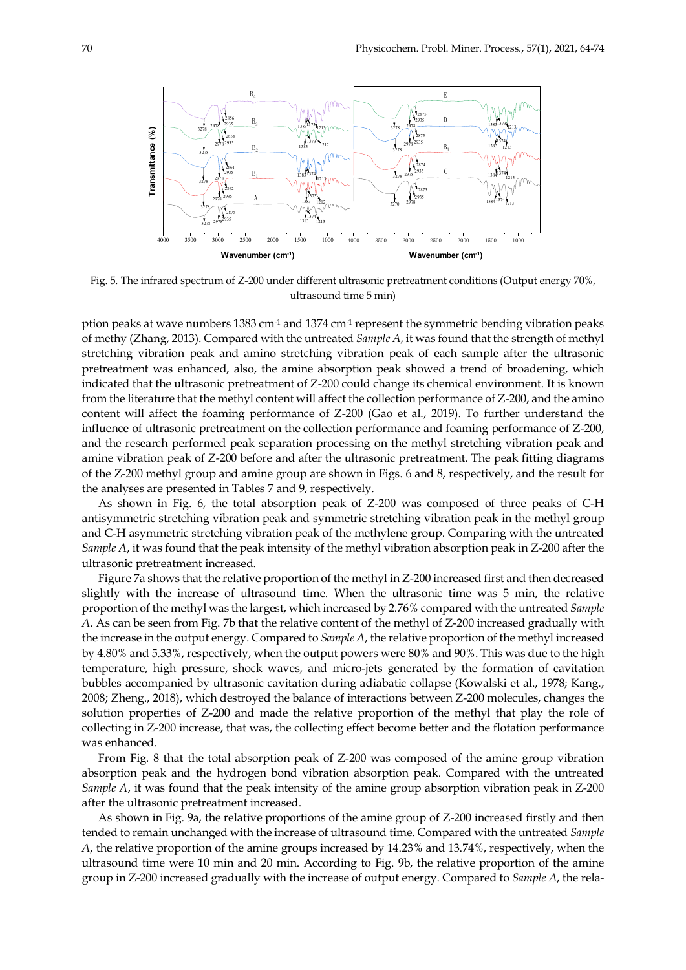

Fig. 5. The infrared spectrum of Z-200 under different ultrasonic pretreatment conditions (Output energy 70%, ultrasound time 5 min)

ption peaks at wave numbers 1383 cm-1 and 1374 cm-1 represent the symmetric bending vibration peaks of methy (Zhang, 2013). Compared with the untreated *Sample A*, it was found that the strength of methyl stretching vibration peak and amino stretching vibration peak of each sample after the ultrasonic pretreatment was enhanced, also, the amine absorption peak showed a trend of broadening, which indicated that the ultrasonic pretreatment of Z-200 could change its chemical environment. It is known from the literature that the methyl content will affect the collection performance of Z-200, and the amino content will affect the foaming performance of Z-200 (Gao et al., 2019). To further understand the influence of ultrasonic pretreatment on the collection performance and foaming performance of Z-200, and the research performed peak separation processing on the methyl stretching vibration peak and amine vibration peak of Z-200 before and after the ultrasonic pretreatment. The peak fitting diagrams of the Z-200 methyl group and amine group are shown in Figs. 6 and 8, respectively, and the result for the analyses are presented in Tables 7 and 9, respectively.

As shown in Fig. 6, the total absorption peak of Z-200 was composed of three peaks of C-H antisymmetric stretching vibration peak and symmetric stretching vibration peak in the methyl group and C-H asymmetric stretching vibration peak of the methylene group. Comparing with the untreated *Sample A*, it was found that the peak intensity of the methyl vibration absorption peak in Z-200 after the ultrasonic pretreatment increased.

Figure 7a shows that the relative proportion of the methyl in Z-200 increased first and then decreased slightly with the increase of ultrasound time. When the ultrasonic time was 5 min, the relative proportion of the methyl was the largest, which increased by 2.76% compared with the untreated *Sample A*. As can be seen from Fig. 7b that the relative content of the methyl of Z-200 increased gradually with the increase in the output energy. Compared to *Sample A*, the relative proportion of the methyl increased by 4.80% and 5.33%, respectively, when the output powers were 80% and 90%. This was due to the high temperature, high pressure, shock waves, and micro-jets generated by the formation of cavitation bubbles accompanied by ultrasonic cavitation during adiabatic collapse (Kowalski et al., 1978; Kang., 2008; Zheng., 2018), which destroyed the balance of interactions between Z-200 molecules, changes the solution properties of Z-200 and made the relative proportion of the methyl that play the role of collecting in Z-200 increase, that was, the collecting effect become better and the flotation performance was enhanced.

From Fig. 8 that the total absorption peak of Z-200 was composed of the amine group vibration absorption peak and the hydrogen bond vibration absorption peak. Compared with the untreated *Sample A*, it was found that the peak intensity of the amine group absorption vibration peak in Z-200 after the ultrasonic pretreatment increased.

As shown in Fig. 9a, the relative proportions of the amine group of Z-200 increased firstly and then tended to remain unchanged with the increase of ultrasound time. Compared with the untreated *Sample A*, the relative proportion of the amine groups increased by 14.23% and 13.74%, respectively, when the ultrasound time were 10 min and 20 min. According to Fig. 9b, the relative proportion of the amine group in Z-200 increased gradually with the increase of output energy. Compared to *Sample A*, the rela-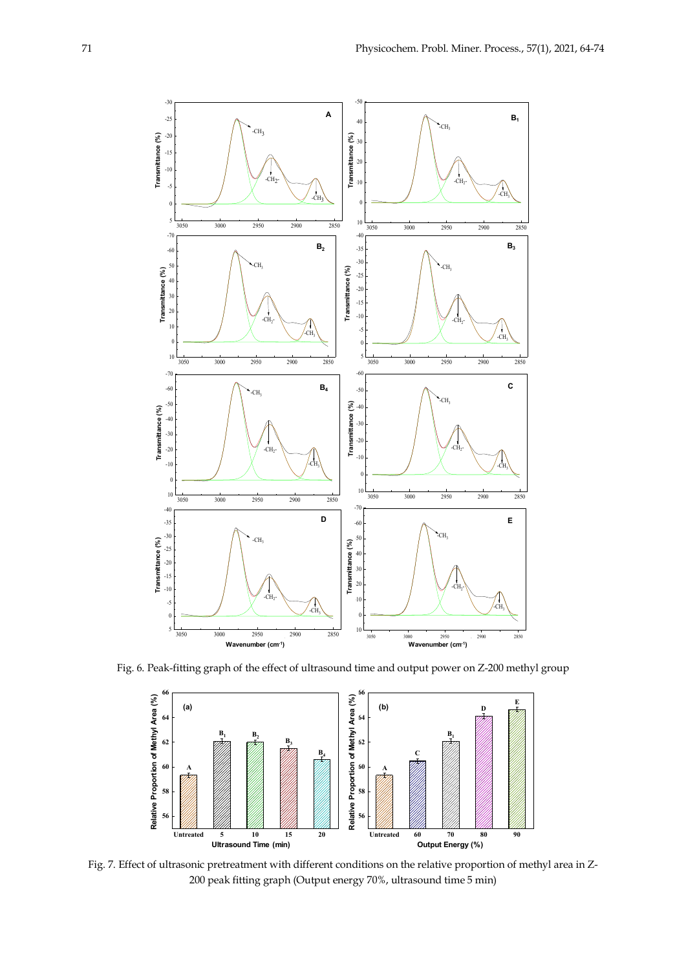

Fig. 6. Peak-fitting graph of the effect of ultrasound time and output power on Z-200 methyl group



Fig. 7. Effect of ultrasonic pretreatment with different conditions on the relative proportion of methyl area in Z-200 peak fitting graph (Output energy 70%, ultrasound time 5 min)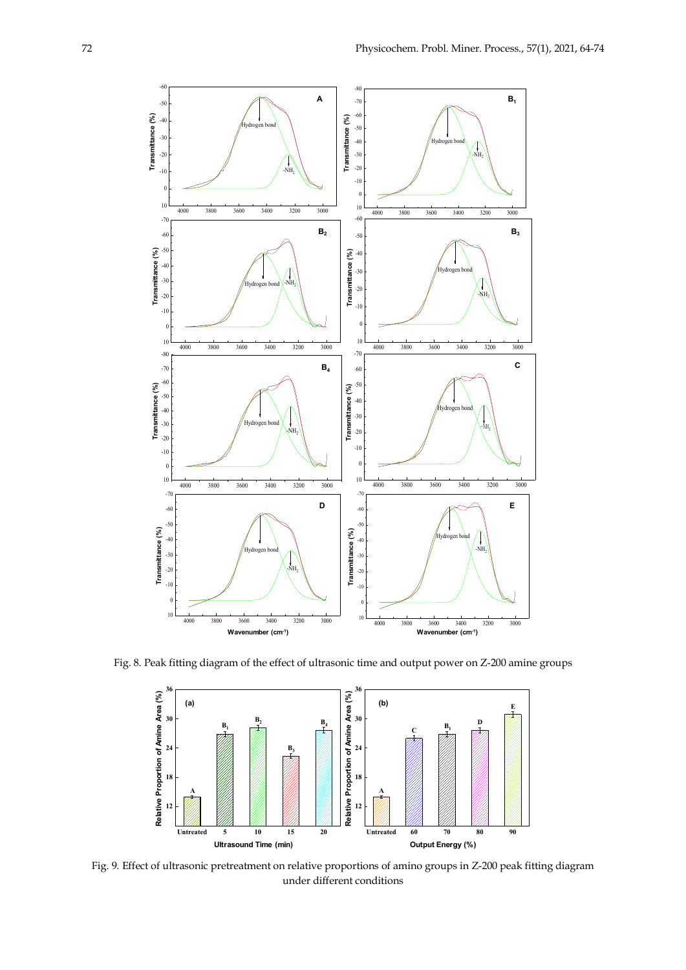

Fig. 8. Peak fitting diagram of the effect of ultrasonic time and output power on Z-200 amine groups



Fig. 9. Effect of ultrasonic pretreatment on relative proportions of amino groups in Z-200 peak fitting diagram under different conditions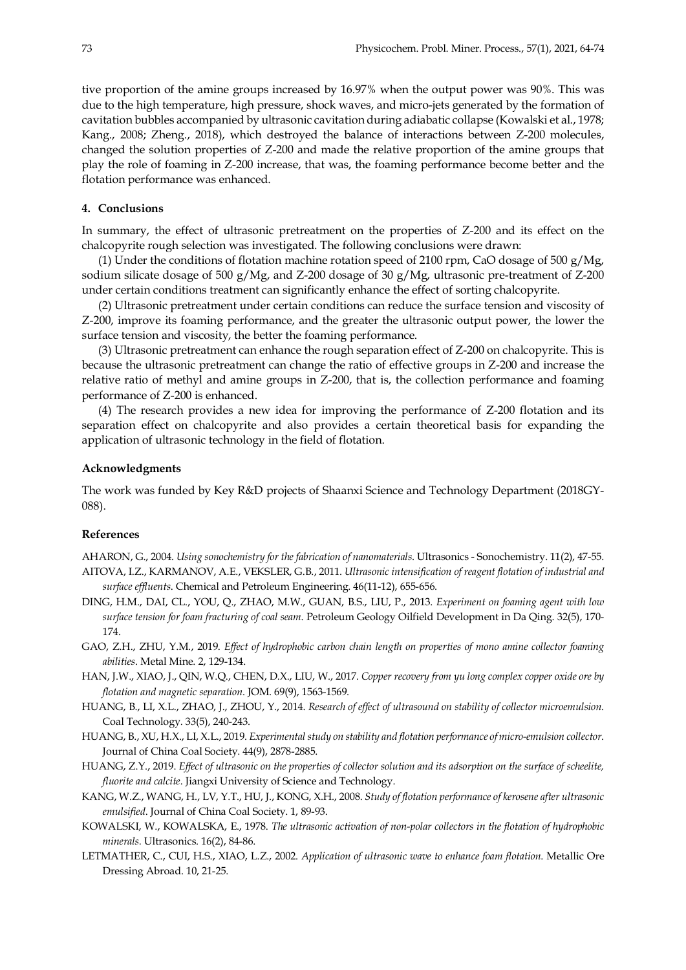tive proportion of the amine groups increased by 16.97% when the output power was 90%. This was due to the high temperature, high pressure, shock waves, and micro-jets generated by the formation of cavitation bubbles accompanied by ultrasonic cavitation during adiabatic collapse (Kowalski et al., 1978; Kang., 2008; Zheng., 2018), which destroyed the balance of interactions between Z-200 molecules, changed the solution properties of Z-200 and made the relative proportion of the amine groups that play the role of foaming in Z-200 increase, that was, the foaming performance become better and the flotation performance was enhanced.

# **4. Conclusions**

In summary, the effect of ultrasonic pretreatment on the properties of Z-200 and its effect on the chalcopyrite rough selection was investigated. The following conclusions were drawn:

(1) Under the conditions of flotation machine rotation speed of 2100 rpm, CaO dosage of 500 g/Mg, sodium silicate dosage of 500 g/Mg, and Z-200 dosage of 30 g/Mg, ultrasonic pre-treatment of Z-200 under certain conditions treatment can significantly enhance the effect of sorting chalcopyrite.

(2) Ultrasonic pretreatment under certain conditions can reduce the surface tension and viscosity of Z-200, improve its foaming performance, and the greater the ultrasonic output power, the lower the surface tension and viscosity, the better the foaming performance.

(3) Ultrasonic pretreatment can enhance the rough separation effect of Z-200 on chalcopyrite. This is because the ultrasonic pretreatment can change the ratio of effective groups in Z-200 and increase the relative ratio of methyl and amine groups in Z-200, that is, the collection performance and foaming performance of Z-200 is enhanced.

(4) The research provides a new idea for improving the performance of Z-200 flotation and its separation effect on chalcopyrite and also provides a certain theoretical basis for expanding the application of ultrasonic technology in the field of flotation.

#### **Acknowledgments**

The work was funded by Key R&D projects of Shaanxi Science and Technology Department (2018GY-088).

# **References**

AHARON, G., 2004. *Using sonochemistry for the fabrication of nanomaterials*. Ultrasonics - Sonochemistry. 11(2), 47-55. AITOVA, I.Z., KARMANOV, A.E., VEKSLER, G.B., 2011. *Ultrasonic intensification of reagent flotation of industrial and surface effluents*. Chemical and Petroleum Engineering. 46(11-12), 655-656.

- DING, H.M., DAI, CL., YOU, Q., ZHAO, M.W., GUAN, B.S., LIU, P., 2013. *Experiment on foaming agent with low surface tension for foam fracturing of coal seam*. Petroleum Geology Oilfield Development in Da Qing. 32(5), 170- 174.
- GAO, Z.H., ZHU, Y.M., 2019. *Effect of hydrophobic carbon chain length on properties of mono amine collector foaming abilities*. Metal Mine. 2, 129-134.
- HAN, J.W., XIAO, J., QIN, W.Q., CHEN, D.X., LIU, W., 2017. *Copper recovery from yu long complex copper oxide ore by flotation and magnetic separation*. JOM. 69(9), 1563-1569.
- HUANG, B., LI, X.L., ZHAO, J., ZHOU, Y., 2014. *Research of effect of ultrasound on stability of collector microemulsion*. Coal Technology. 33(5), 240-243.
- HUANG, B., XU, H.X., LI, X.L., 2019. *Experimental study on stability and flotation performance of micro-emulsion collector*. Journal of China Coal Society. 44(9), 2878-2885.
- HUANG, Z.Y., 2019. *Effect of ultrasonic on the properties of collector solution and its adsorption on the surface of scheelite, fluorite and calcite*. Jiangxi University of Science and Technology.
- KANG, W.Z., WANG, H., LV, Y.T., HU, J., KONG, X.H., 2008. *Study of flotation performance of kerosene after ultrasonic emulsified*. Journal of China Coal Society. 1, 89-93.
- KOWALSKI, W., KOWALSKA, E., 1978. *The ultrasonic activation of non-polar collectors in the flotation of hydrophobic minerals.* Ultrasonics. 16(2), 84-86.
- LETMATHER, C., CUI, H.S., XIAO, L.Z., 2002. *Application of ultrasonic wave to enhance foam flotation*. Metallic Ore Dressing Abroad. 10, 21-25.